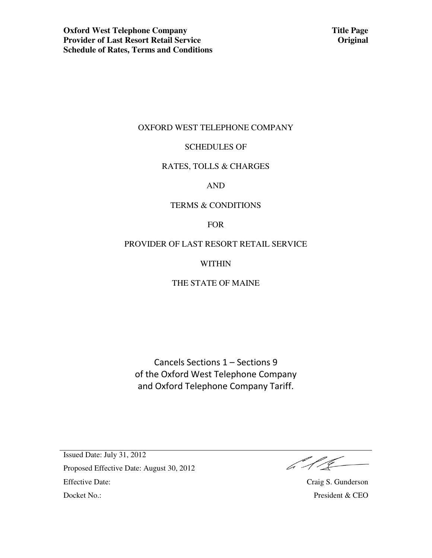### OXFORD WEST TELEPHONE COMPANY

#### SCHEDULES OF

#### RATES, TOLLS & CHARGES

AND

#### TERMS & CONDITIONS

FOR

### PROVIDER OF LAST RESORT RETAIL SERVICE

WITHIN

## THE STATE OF MAINE

Cancels Sections 1 – Sections 9 of the Oxford West Telephone Company and Oxford Telephone Company Tariff.

 $\frac{1}{\sqrt{2}}\int d^3x\sqrt{\frac{1}{\sqrt{2}}\left(\frac{1}{\sqrt{2}}\right)}\frac{dx}{\sqrt{2}}dx$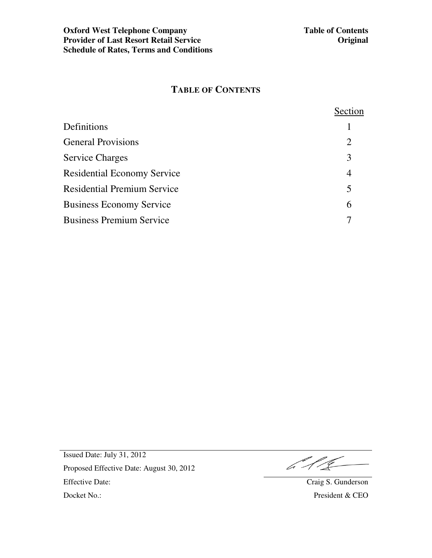# **TABLE OF CONTENTS**

|                                    | Section        |
|------------------------------------|----------------|
| Definitions                        |                |
| <b>General Provisions</b>          | $\overline{2}$ |
| <b>Service Charges</b>             | 3              |
| <b>Residential Economy Service</b> | 4              |
| <b>Residential Premium Service</b> | 5              |
| <b>Business Economy Service</b>    | 6              |
| <b>Business Premium Service</b>    |                |

 $416 -$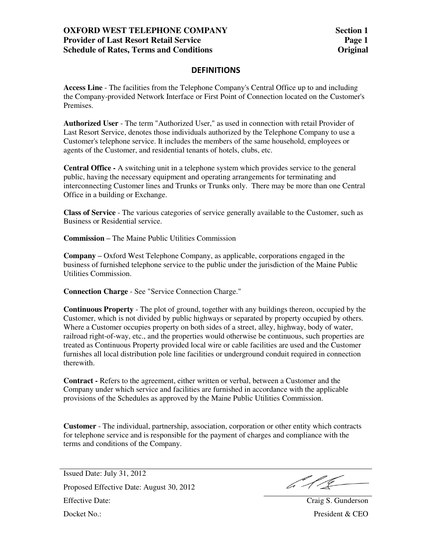## **OXFORD WEST TELEPHONE COMPANY Provider of Last Resort Retail Service Schedule of Rates, Terms and Conditions**

### **DEFINITIONS**

**Access Line** - The facilities from the Telephone Company's Central Office up to and including the Company-provided Network Interface or First Point of Connection located on the Customer's Premises.

**Authorized User** - The term "Authorized User," as used in connection with retail Provider of Last Resort Service, denotes those individuals authorized by the Telephone Company to use a Customer's telephone service. It includes the members of the same household, employees or agents of the Customer, and residential tenants of hotels, clubs, etc.

**Central Office -** A switching unit in a telephone system which provides service to the general public, having the necessary equipment and operating arrangements for terminating and interconnecting Customer lines and Trunks or Trunks only. There may be more than one Central Office in a building or Exchange.

**Class of Service** - The various categories of service generally available to the Customer, such as Business or Residential service.

**Commission –** The Maine Public Utilities Commission

**Company –** Oxford West Telephone Company, as applicable, corporations engaged in the business of furnished telephone service to the public under the jurisdiction of the Maine Public Utilities Commission.

**Connection Charge** - See "Service Connection Charge."

**Continuous Property** - The plot of ground, together with any buildings thereon, occupied by the Customer, which is not divided by public highways or separated by property occupied by others. Where a Customer occupies property on both sides of a street, alley, highway, body of water, railroad right-of-way, etc., and the properties would otherwise be continuous, such properties are treated as Continuous Property provided local wire or cable facilities are used and the Customer furnishes all local distribution pole line facilities or underground conduit required in connection therewith.

**Contract -** Refers to the agreement, either written or verbal, between a Customer and the Company under which service and facilities are furnished in accordance with the applicable provisions of the Schedules as approved by the Maine Public Utilities Commission.

**Customer** - The individual, partnership, association, corporation or other entity which contracts for telephone service and is responsible for the payment of charges and compliance with the terms and conditions of the Company.

 $612$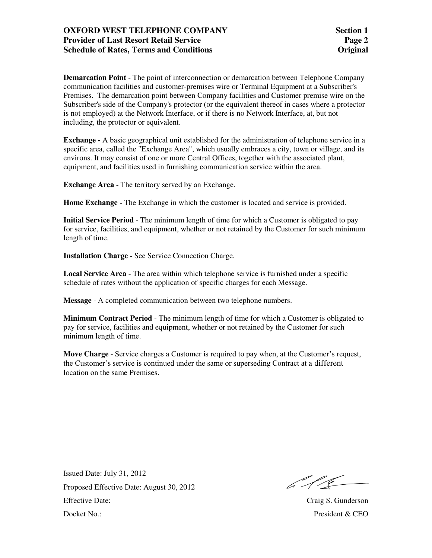## **OXFORD WEST TELEPHONE COMPANY Provider of Last Resort Retail Service Schedule of Rates, Terms and Conditions**

**Demarcation Point** - The point of interconnection or demarcation between Telephone Company communication facilities and customer-premises wire or Terminal Equipment at a Subscriber's Premises. The demarcation point between Company facilities and Customer premise wire on the Subscriber's side of the Company's protector (or the equivalent thereof in cases where a protector is not employed) at the Network Interface, or if there is no Network Interface, at, but not including, the protector or equivalent.

**Exchange -** A basic geographical unit established for the administration of telephone service in a specific area, called the "Exchange Area", which usually embraces a city, town or village, and its environs. It may consist of one or more Central Offices, together with the associated plant, equipment, and facilities used in furnishing communication service within the area.

**Exchange Area** - The territory served by an Exchange.

**Home Exchange -** The Exchange in which the customer is located and service is provided.

**Initial Service Period** - The minimum length of time for which a Customer is obligated to pay for service, facilities, and equipment, whether or not retained by the Customer for such minimum length of time.

**Installation Charge** - See Service Connection Charge.

**Local Service Area** - The area within which telephone service is furnished under a specific schedule of rates without the application of specific charges for each Message.

**Message** - A completed communication between two telephone numbers.

**Minimum Contract Period** - The minimum length of time for which a Customer is obligated to pay for service, facilities and equipment, whether or not retained by the Customer for such minimum length of time.

**Move Charge** - Service charges a Customer is required to pay when, at the Customer's request, the Customer's service is continued under the same or superseding Contract at a different location on the same Premises.

 $642-$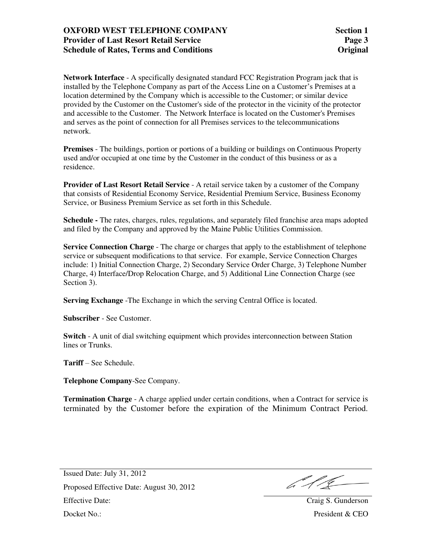## **OXFORD WEST TELEPHONE COMPANY Provider of Last Resort Retail Service Schedule of Rates, Terms and Conditions**

**Network Interface** - A specifically designated standard FCC Registration Program jack that is installed by the Telephone Company as part of the Access Line on a Customer's Premises at a location determined by the Company which is accessible to the Customer; or similar device provided by the Customer on the Customer's side of the protector in the vicinity of the protector and accessible to the Customer. The Network Interface is located on the Customer's Premises and serves as the point of connection for all Premises services to the telecommunications network.

**Premises** - The buildings, portion or portions of a building or buildings on Continuous Property used and/or occupied at one time by the Customer in the conduct of this business or as a residence.

**Provider of Last Resort Retail Service** - A retail service taken by a customer of the Company that consists of Residential Economy Service, Residential Premium Service, Business Economy Service, or Business Premium Service as set forth in this Schedule.

**Schedule -** The rates, charges, rules, regulations, and separately filed franchise area maps adopted and filed by the Company and approved by the Maine Public Utilities Commission.

**Service Connection Charge** - The charge or charges that apply to the establishment of telephone service or subsequent modifications to that service. For example, Service Connection Charges include: 1) Initial Connection Charge, 2) Secondary Service Order Charge, 3) Telephone Number Charge, 4) Interface/Drop Relocation Charge, and 5) Additional Line Connection Charge (see Section 3).

**Serving Exchange** -The Exchange in which the serving Central Office is located.

**Subscriber** - See Customer.

**Switch** - A unit of dial switching equipment which provides interconnection between Station lines or Trunks.

**Tariff** – See Schedule.

**Telephone Company**-See Company.

**Termination Charge** - A charge applied under certain conditions, when a Contract for service is terminated by the Customer before the expiration of the Minimum Contract Period.

b 11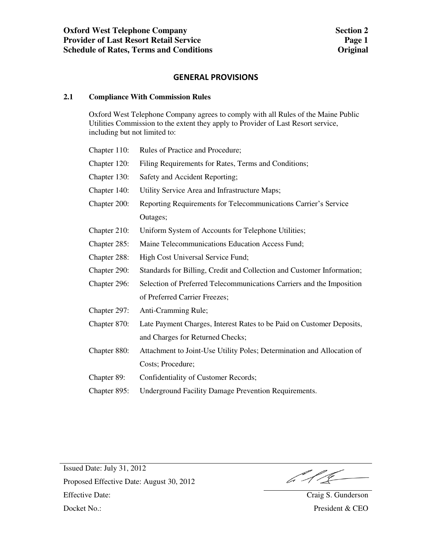#### **GENERAL PROVISIONS**

#### **2.1 Compliance With Commission Rules**

 Oxford West Telephone Company agrees to comply with all Rules of the Maine Public Utilities Commission to the extent they apply to Provider of Last Resort service, including but not limited to:

| Chapter 110: | Rules of Practice and Procedure;                                       |
|--------------|------------------------------------------------------------------------|
| Chapter 120: | Filing Requirements for Rates, Terms and Conditions;                   |
| Chapter 130: | Safety and Accident Reporting;                                         |
| Chapter 140: | Utility Service Area and Infrastructure Maps;                          |
| Chapter 200: | Reporting Requirements for Telecommunications Carrier's Service        |
|              | Outages;                                                               |
| Chapter 210: | Uniform System of Accounts for Telephone Utilities;                    |
| Chapter 285: | Maine Telecommunications Education Access Fund;                        |
| Chapter 288: | High Cost Universal Service Fund;                                      |
| Chapter 290: | Standards for Billing, Credit and Collection and Customer Information; |
| Chapter 296: | Selection of Preferred Telecommunications Carriers and the Imposition  |
|              | of Preferred Carrier Freezes;                                          |
| Chapter 297: | Anti-Cramming Rule;                                                    |
| Chapter 870: | Late Payment Charges, Interest Rates to be Paid on Customer Deposits,  |
|              | and Charges for Returned Checks;                                       |
| Chapter 880: | Attachment to Joint-Use Utility Poles; Determination and Allocation of |
|              | Costs; Procedure;                                                      |
|              |                                                                        |

Chapter 89: Confidentiality of Customer Records;

Chapter 895: Underground Facility Damage Prevention Requirements.

611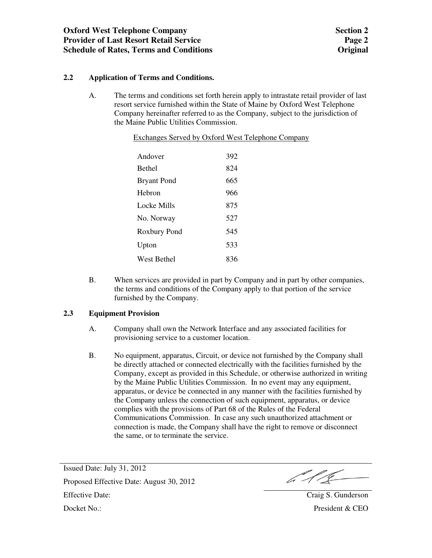### **2.2 Application of Terms and Conditions.**

A. The terms and conditions set forth herein apply to intrastate retail provider of last resort service furnished within the State of Maine by Oxford West Telephone Company hereinafter referred to as the Company, subject to the jurisdiction of the Maine Public Utilities Commission.

|                    | <b>Exchanges Served by Oxford West Telephone Company</b> |  |  |
|--------------------|----------------------------------------------------------|--|--|
|                    |                                                          |  |  |
| Andover            | 392                                                      |  |  |
| <b>Bethel</b>      | 824                                                      |  |  |
| <b>Bryant Pond</b> | 665                                                      |  |  |
| Hebron             | 966                                                      |  |  |
| Locke Mills        | 875                                                      |  |  |
| No. Norway         | 527                                                      |  |  |
| Roxbury Pond       | 545                                                      |  |  |
| Upton              | 533                                                      |  |  |
| West Bethel        | 836                                                      |  |  |

B. When services are provided in part by Company and in part by other companies, the terms and conditions of the Company apply to that portion of the service furnished by the Company.

#### **2.3 Equipment Provision**

- A. Company shall own the Network Interface and any associated facilities for provisioning service to a customer location.
- B. No equipment, apparatus, Circuit, or device not furnished by the Company shall be directly attached or connected electrically with the facilities furnished by the Company, except as provided in this Schedule, or otherwise authorized in writing by the Maine Public Utilities Commission. In no event may any equipment, apparatus, or device be connected in any manner with the facilities furnished by the Company unless the connection of such equipment, apparatus, or device complies with the provisions of Part 68 of the Rules of the Federal Communications Commission. In case any such unauthorized attachment or connection is made, the Company shall have the right to remove or disconnect the same, or to terminate the service.

b Sile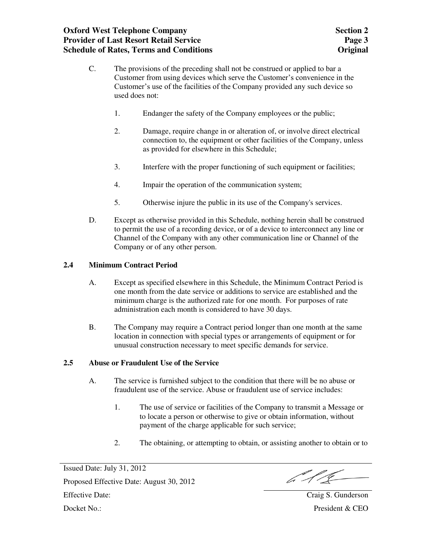## **Oxford West Telephone Company Provider of Last Resort Retail Service Schedule of Rates, Terms and Conditions**

- C. The provisions of the preceding shall not be construed or applied to bar a Customer from using devices which serve the Customer's convenience in the Customer's use of the facilities of the Company provided any such device so used does not:
	- 1. Endanger the safety of the Company employees or the public;
	- 2. Damage, require change in or alteration of, or involve direct electrical connection to, the equipment or other facilities of the Company, unless as provided for elsewhere in this Schedule;
	- 3. Interfere with the proper functioning of such equipment or facilities;
	- 4. Impair the operation of the communication system;
	- 5. Otherwise injure the public in its use of the Company's services.
- D. Except as otherwise provided in this Schedule, nothing herein shall be construed to permit the use of a recording device, or of a device to interconnect any line or Channel of the Company with any other communication line or Channel of the Company or of any other person.

#### **2.4 Minimum Contract Period**

- A. Except as specified elsewhere in this Schedule, the Minimum Contract Period is one month from the date service or additions to service are established and the minimum charge is the authorized rate for one month. For purposes of rate administration each month is considered to have 30 days.
- B. The Company may require a Contract period longer than one month at the same location in connection with special types or arrangements of equipment or for unusual construction necessary to meet specific demands for service.

#### **2.5 Abuse or Fraudulent Use of the Service**

- A. The service is furnished subject to the condition that there will be no abuse or fraudulent use of the service. Abuse or fraudulent use of service includes:
	- 1. The use of service or facilities of the Company to transmit a Message or to locate a person or otherwise to give or obtain information, without payment of the charge applicable for such service;
	- 2. The obtaining, or attempting to obtain, or assisting another to obtain or to

Issued Date: July 31, 2012 Proposed Effective Date: August 30, 2012 Effective Date: Craig S. Gunderson

b 11C

Docket No.: President & CEO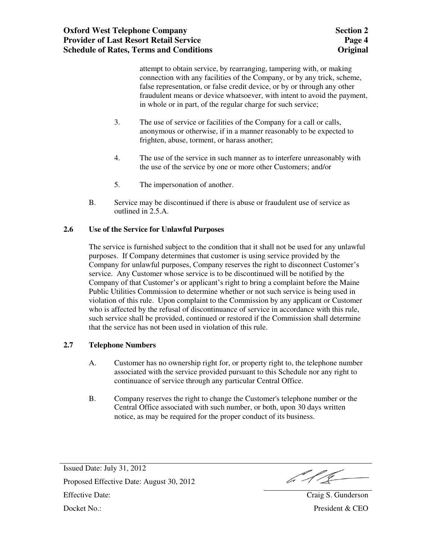attempt to obtain service, by rearranging, tampering with, or making connection with any facilities of the Company, or by any trick, scheme, false representation, or false credit device, or by or through any other fraudulent means or device whatsoever, with intent to avoid the payment, in whole or in part, of the regular charge for such service;

- 3. The use of service or facilities of the Company for a call or calls, anonymous or otherwise, if in a manner reasonably to be expected to frighten, abuse, torment, or harass another;
- 4. The use of the service in such manner as to interfere unreasonably with the use of the service by one or more other Customers; and/or
- 5. The impersonation of another.
- B. Service may be discontinued if there is abuse or fraudulent use of service as outlined in 2.5.A.

### **2.6 Use of the Service for Unlawful Purposes**

The service is furnished subject to the condition that it shall not be used for any unlawful purposes. If Company determines that customer is using service provided by the Company for unlawful purposes, Company reserves the right to disconnect Customer's service. Any Customer whose service is to be discontinued will be notified by the Company of that Customer's or applicant's right to bring a complaint before the Maine Public Utilities Commission to determine whether or not such service is being used in violation of this rule. Upon complaint to the Commission by any applicant or Customer who is affected by the refusal of discontinuance of service in accordance with this rule, such service shall be provided, continued or restored if the Commission shall determine that the service has not been used in violation of this rule.

#### **2.7 Telephone Numbers**

- A. Customer has no ownership right for, or property right to, the telephone number associated with the service provided pursuant to this Schedule nor any right to continuance of service through any particular Central Office.
- B. Company reserves the right to change the Customer's telephone number or the Central Office associated with such number, or both, upon 30 days written notice, as may be required for the proper conduct of its business.

b 11C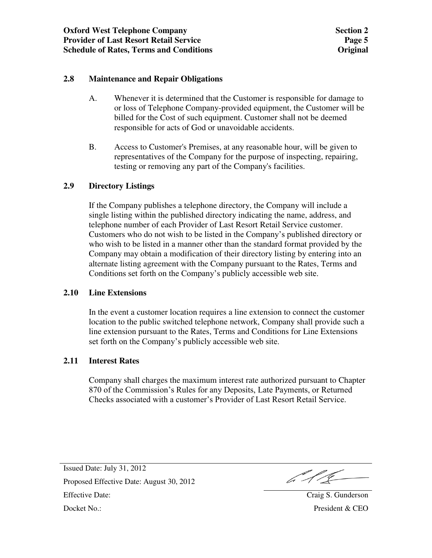### **2.8 Maintenance and Repair Obligations**

- A. Whenever it is determined that the Customer is responsible for damage to or loss of Telephone Company-provided equipment, the Customer will be billed for the Cost of such equipment. Customer shall not be deemed responsible for acts of God or unavoidable accidents.
- B. Access to Customer's Premises, at any reasonable hour, will be given to representatives of the Company for the purpose of inspecting, repairing, testing or removing any part of the Company's facilities.

### **2.9 Directory Listings**

If the Company publishes a telephone directory, the Company will include a single listing within the published directory indicating the name, address, and telephone number of each Provider of Last Resort Retail Service customer. Customers who do not wish to be listed in the Company's published directory or who wish to be listed in a manner other than the standard format provided by the Company may obtain a modification of their directory listing by entering into an alternate listing agreement with the Company pursuant to the Rates, Terms and Conditions set forth on the Company's publicly accessible web site.

#### **2.10 Line Extensions**

In the event a customer location requires a line extension to connect the customer location to the public switched telephone network, Company shall provide such a line extension pursuant to the Rates, Terms and Conditions for Line Extensions set forth on the Company's publicly accessible web site.

### **2.11 Interest Rates**

Company shall charges the maximum interest rate authorized pursuant to Chapter 870 of the Commission's Rules for any Deposits, Late Payments, or Returned Checks associated with a customer's Provider of Last Resort Retail Service.

b 11C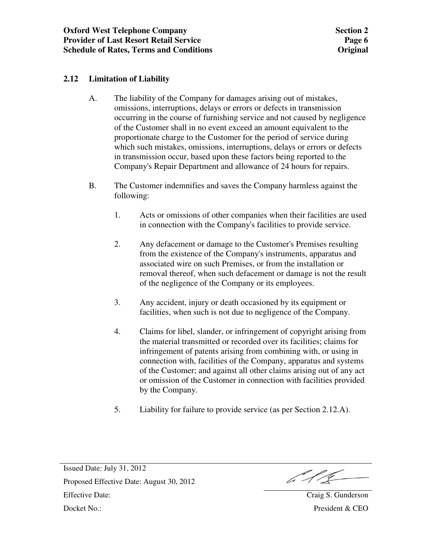## **2.12 Limitation of Liability**

- A. The liability of the Company for damages arising out of mistakes, omissions, interruptions, delays or errors or defects in transmission occurring in the course of furnishing service and not caused by negligence of the Customer shall in no event exceed an amount equivalent to the proportionate charge to the Customer for the period of service during which such mistakes, omissions, interruptions, delays or errors or defects in transmission occur, based upon these factors being reported to the Company's Repair Department and allowance of 24 hours for repairs.
- B. The Customer indemnifies and saves the Company harmless against the following:
	- 1. Acts or omissions of other companies when their facilities are used in connection with the Company's facilities to provide service.
	- 2. Any defacement or damage to the Customer's Premises resulting from the existence of the Company's instruments, apparatus and associated wire on such Premises, or from the installation or removal thereof, when such defacement or damage is not the result of the negligence of the Company or its employees.
	- 3. Any accident, injury or death occasioned by its equipment or facilities, when such is not due to negligence of the Company.
	- 4. Claims for libel, slander, or infringement of copyright arising from the material transmitted or recorded over its facilities; claims for infringement of patents arising from combining with, or using in connection with, facilities of the Company, apparatus and systems of the Customer; and against all other claims arising out of any act or omission of the Customer in connection with facilities provided by the Company.
	- 5. Liability for failure to provide service (as per Section 2.12.A).

b 1/C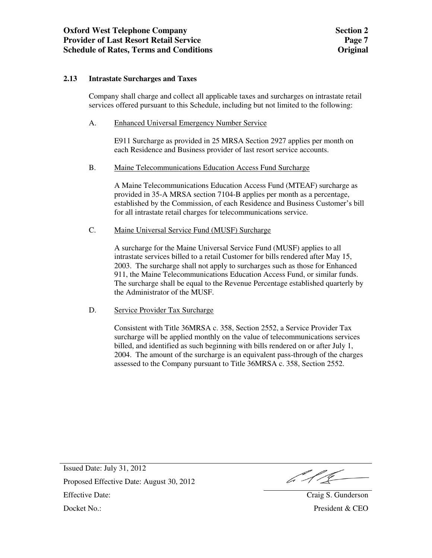#### **2.13 Intrastate Surcharges and Taxes**

Company shall charge and collect all applicable taxes and surcharges on intrastate retail services offered pursuant to this Schedule, including but not limited to the following:

A. Enhanced Universal Emergency Number Service

 E911 Surcharge as provided in 25 MRSA Section 2927 applies per month on each Residence and Business provider of last resort service accounts.

B. Maine Telecommunications Education Access Fund Surcharge

 A Maine Telecommunications Education Access Fund (MTEAF) surcharge as provided in 35-A MRSA section 7104-B applies per month as a percentage, established by the Commission, of each Residence and Business Customer's bill for all intrastate retail charges for telecommunications service.

#### C. Maine Universal Service Fund (MUSF) Surcharge

 A surcharge for the Maine Universal Service Fund (MUSF) applies to all intrastate services billed to a retail Customer for bills rendered after May 15, 2003. The surcharge shall not apply to surcharges such as those for Enhanced 911, the Maine Telecommunications Education Access Fund, or similar funds. The surcharge shall be equal to the Revenue Percentage established quarterly by the Administrator of the MUSF.

#### D. Service Provider Tax Surcharge

 Consistent with Title 36MRSA c. 358, Section 2552, a Service Provider Tax surcharge will be applied monthly on the value of telecommunications services billed, and identified as such beginning with bills rendered on or after July 1, 2004. The amount of the surcharge is an equivalent pass-through of the charges assessed to the Company pursuant to Title 36MRSA c. 358, Section 2552.

b 11C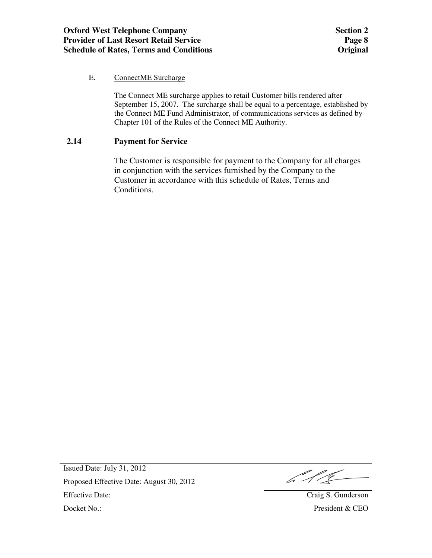### E. ConnectME Surcharge

 The Connect ME surcharge applies to retail Customer bills rendered after September 15, 2007. The surcharge shall be equal to a percentage, established by the Connect ME Fund Administrator, of communications services as defined by Chapter 101 of the Rules of the Connect ME Authority.

### **2.14 Payment for Service**

The Customer is responsible for payment to the Company for all charges in conjunction with the services furnished by the Company to the Customer in accordance with this schedule of Rates, Terms and Conditions.

b 1 l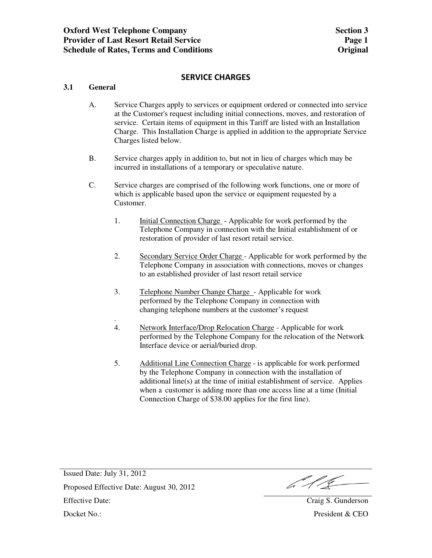### **SERVICE CHARGES**

#### **3.1 General**

- A. Service Charges apply to services or equipment ordered or connected into service at the Customer's request including initial connections, moves, and restoration of service. Certain items of equipment in this Tariff are listed with an Installation Charge. This Installation Charge is applied in addition to the appropriate Service Charges listed below.
- B. Service charges apply in addition to, but not in lieu of charges which may be incurred in installations of a temporary or speculative nature.
- C. Service charges are comprised of the following work functions, one or more of which is applicable based upon the service or equipment requested by a Customer.
	- 1. Initial Connection Charge Applicable for work performed by the Telephone Company in connection with the Initial establishment of or restoration of provider of last resort retail service.
	- 2. Secondary Service Order Charge Applicable for work performed by the Telephone Company in association with connections, moves or changes to an established provider of last resort retail service
	- 3. Telephone Number Change Charge Applicable for work performed by the Telephone Company in connection with changing telephone numbers at the customer's request
	- . 4. Network Interface/Drop Relocation Charge - Applicable for work performed by the Telephone Company for the relocation of the Network Interface device or aerial/buried drop.
	- 5. Additional Line Connection Charge is applicable for work performed by the Telephone Company in connection with the installation of additional line(s) at the time of initial establishment of service. Applies when a customer is adding more than one access line at a time (Initial Connection Charge of \$38.00 applies for the first line).

b 1/2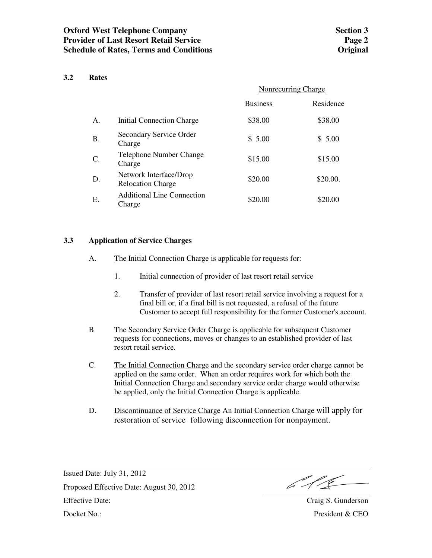#### **3.2 Rates**

|           |                                                    | Nonrecurring Charge |           |
|-----------|----------------------------------------------------|---------------------|-----------|
|           |                                                    | <b>Business</b>     | Residence |
| A.        | Initial Connection Charge                          | \$38.00             | \$38.00   |
| <b>B.</b> | Secondary Service Order<br>Charge                  | \$5.00              | \$5.00    |
| $C$ .     | Telephone Number Change<br>Charge                  | \$15.00             | \$15.00   |
| D.        | Network Interface/Drop<br><b>Relocation Charge</b> | \$20.00             | \$20.00.  |
| Ε.        | <b>Additional Line Connection</b><br>Charge        | \$20.00             | \$20.00   |

#### **3.3 Application of Service Charges**

- A. The Initial Connection Charge is applicable for requests for:
	- 1. Initial connection of provider of last resort retail service
	- 2. Transfer of provider of last resort retail service involving a request for a final bill or, if a final bill is not requested, a refusal of the future Customer to accept full responsibility for the former Customer's account.
- B The Secondary Service Order Charge is applicable for subsequent Customer requests for connections, moves or changes to an established provider of last resort retail service.
- C. The Initial Connection Charge and the secondary service order charge cannot be applied on the same order. When an order requires work for which both the Initial Connection Charge and secondary service order charge would otherwise be applied, only the Initial Connection Charge is applicable.
- D. Discontinuance of Service Charge An Initial Connection Charge will apply for restoration of service following disconnection for nonpayment.

6115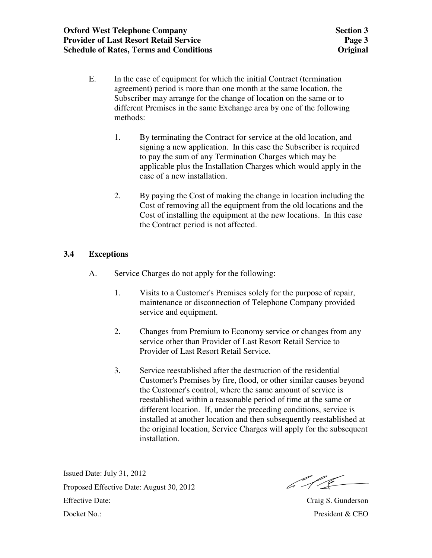- E. In the case of equipment for which the initial Contract (termination agreement) period is more than one month at the same location, the Subscriber may arrange for the change of location on the same or to different Premises in the same Exchange area by one of the following methods:
	- 1. By terminating the Contract for service at the old location, and signing a new application. In this case the Subscriber is required to pay the sum of any Termination Charges which may be applicable plus the Installation Charges which would apply in the case of a new installation.
	- 2. By paying the Cost of making the change in location including the Cost of removing all the equipment from the old locations and the Cost of installing the equipment at the new locations. In this case the Contract period is not affected.

# **3.4 Exceptions**

- A. Service Charges do not apply for the following:
	- 1. Visits to a Customer's Premises solely for the purpose of repair, maintenance or disconnection of Telephone Company provided service and equipment.
	- 2. Changes from Premium to Economy service or changes from any service other than Provider of Last Resort Retail Service to Provider of Last Resort Retail Service.
	- 3. Service reestablished after the destruction of the residential Customer's Premises by fire, flood, or other similar causes beyond the Customer's control, where the same amount of service is reestablished within a reasonable period of time at the same or different location. If, under the preceding conditions, service is installed at another location and then subsequently reestablished at the original location, Service Charges will apply for the subsequent installation.

6.11L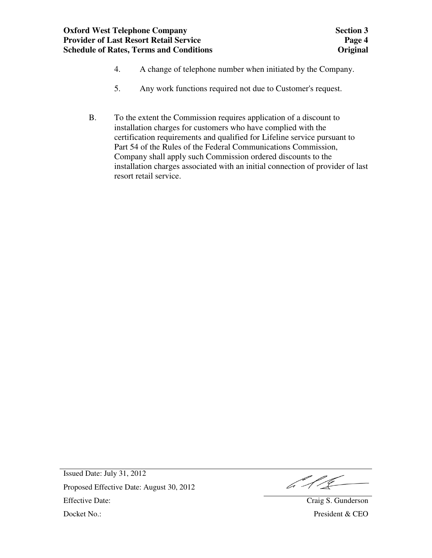## **Oxford West Telephone Company Provider of Last Resort Retail Service Schedule of Rates, Terms and Conditions**

- 4. A change of telephone number when initiated by the Company.
- 5. Any work functions required not due to Customer's request.
- B. To the extent the Commission requires application of a discount to installation charges for customers who have complied with the certification requirements and qualified for Lifeline service pursuant to Part 54 of the Rules of the Federal Communications Commission, Company shall apply such Commission ordered discounts to the installation charges associated with an initial connection of provider of last resort retail service.

b 11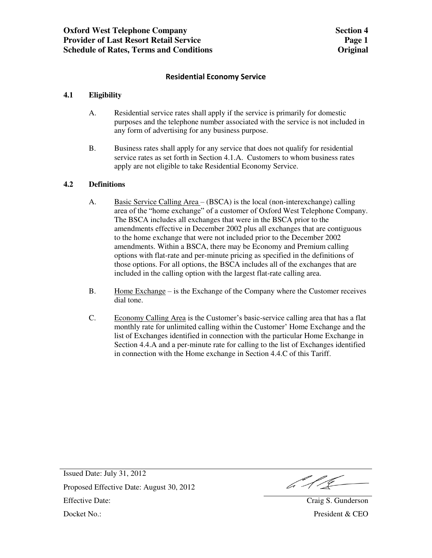#### **Residential Economy Service**

#### **4.1 Eligibility**

- A. Residential service rates shall apply if the service is primarily for domestic purposes and the telephone number associated with the service is not included in any form of advertising for any business purpose.
- B. Business rates shall apply for any service that does not qualify for residential service rates as set forth in Section 4.1.A. Customers to whom business rates apply are not eligible to take Residential Economy Service.

#### **4.2 Definitions**

- A. Basic Service Calling Area (BSCA) is the local (non-interexchange) calling area of the "home exchange" of a customer of Oxford West Telephone Company. The BSCA includes all exchanges that were in the BSCA prior to the amendments effective in December 2002 plus all exchanges that are contiguous to the home exchange that were not included prior to the December 2002 amendments. Within a BSCA, there may be Economy and Premium calling options with flat-rate and per-minute pricing as specified in the definitions of those options. For all options, the BSCA includes all of the exchanges that are included in the calling option with the largest flat-rate calling area.
- B. Home Exchange is the Exchange of the Company where the Customer receives dial tone.
- C. Economy Calling Area is the Customer's basic-service calling area that has a flat monthly rate for unlimited calling within the Customer' Home Exchange and the list of Exchanges identified in connection with the particular Home Exchange in Section 4.4.A and a per-minute rate for calling to the list of Exchanges identified in connection with the Home exchange in Section 4.4.C of this Tariff.

 $611$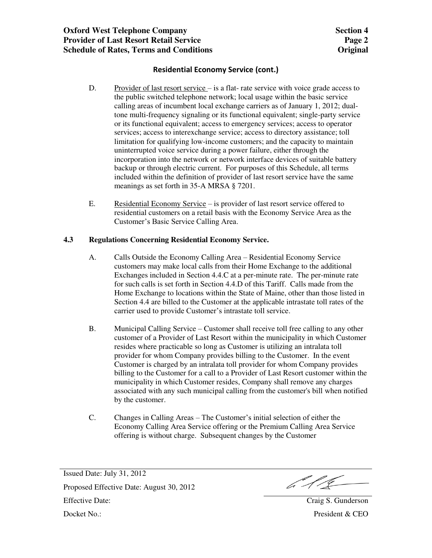- D. Provider of last resort service is a flat- rate service with voice grade access to the public switched telephone network; local usage within the basic service calling areas of incumbent local exchange carriers as of January 1, 2012; dualtone multi-frequency signaling or its functional equivalent; single-party service or its functional equivalent; access to emergency services; access to operator services; access to interexchange service; access to directory assistance; toll limitation for qualifying low-income customers; and the capacity to maintain uninterrupted voice service during a power failure, either through the incorporation into the network or network interface devices of suitable battery backup or through electric current. For purposes of this Schedule, all terms included within the definition of provider of last resort service have the same meanings as set forth in 35-A MRSA § 7201.
- E. Residential Economy Service is provider of last resort service offered to residential customers on a retail basis with the Economy Service Area as the Customer's Basic Service Calling Area.

#### **4.3 Regulations Concerning Residential Economy Service.**

- A. Calls Outside the Economy Calling Area Residential Economy Service customers may make local calls from their Home Exchange to the additional Exchanges included in Section 4.4.C at a per-minute rate. The per-minute rate for such calls is set forth in Section 4.4.D of this Tariff. Calls made from the Home Exchange to locations within the State of Maine, other than those listed in Section 4.4 are billed to the Customer at the applicable intrastate toll rates of the carrier used to provide Customer's intrastate toll service.
- B. Municipal Calling Service Customer shall receive toll free calling to any other customer of a Provider of Last Resort within the municipality in which Customer resides where practicable so long as Customer is utilizing an intralata toll provider for whom Company provides billing to the Customer. In the event Customer is charged by an intralata toll provider for whom Company provides billing to the Customer for a call to a Provider of Last Resort customer within the municipality in which Customer resides, Company shall remove any charges associated with any such municipal calling from the customer's bill when notified by the customer.
- C. Changes in Calling Areas The Customer's initial selection of either the Economy Calling Area Service offering or the Premium Calling Area Service offering is without charge. Subsequent changes by the Customer

 $646$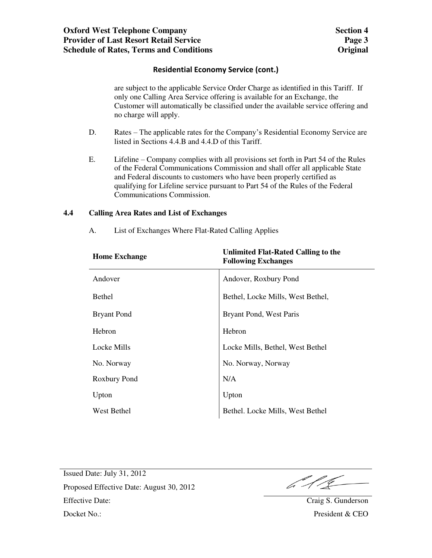are subject to the applicable Service Order Charge as identified in this Tariff. If only one Calling Area Service offering is available for an Exchange, the Customer will automatically be classified under the available service offering and no charge will apply.

- D. Rates The applicable rates for the Company's Residential Economy Service are listed in Sections 4.4.B and 4.4.D of this Tariff.
- E. Lifeline Company complies with all provisions set forth in Part 54 of the Rules of the Federal Communications Commission and shall offer all applicable State and Federal discounts to customers who have been properly certified as qualifying for Lifeline service pursuant to Part 54 of the Rules of the Federal Communications Commission.

#### **4.4 Calling Area Rates and List of Exchanges**

| <b>Home Exchange</b> | Unlimited Flat-Rated Calling to the<br><b>Following Exchanges</b> |
|----------------------|-------------------------------------------------------------------|
| Andover              | Andover, Roxbury Pond                                             |
| <b>Bethel</b>        | Bethel, Locke Mills, West Bethel,                                 |
| <b>Bryant Pond</b>   | Bryant Pond, West Paris                                           |
| Hebron               | Hebron                                                            |
| Locke Mills          | Locke Mills, Bethel, West Bethel                                  |
| No. Norway           | No. Norway, Norway                                                |
| Roxbury Pond         | N/A                                                               |
| Upton                | Upton                                                             |
| West Bethel          | Bethel. Locke Mills, West Bethel                                  |

A. List of Exchanges Where Flat-Rated Calling Applies

6.11C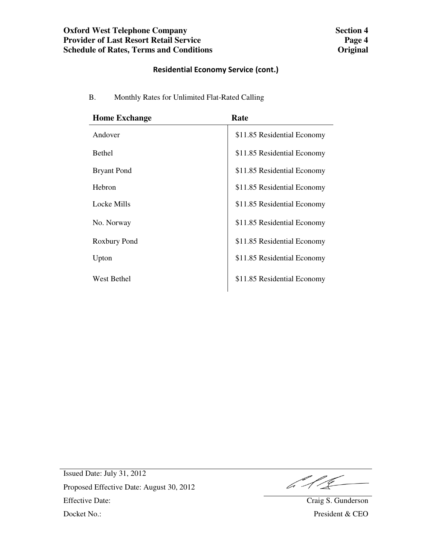| <b>Home Exchange</b> | Rate                        |
|----------------------|-----------------------------|
| Andover              | \$11.85 Residential Economy |
| <b>Bethel</b>        | \$11.85 Residential Economy |
| <b>Bryant Pond</b>   | \$11.85 Residential Economy |
| Hebron               | \$11.85 Residential Economy |
| Locke Mills          | \$11.85 Residential Economy |
| No. Norway           | \$11.85 Residential Economy |
| Roxbury Pond         | \$11.85 Residential Economy |
| Upton                | \$11.85 Residential Economy |
| <b>West Bethel</b>   | \$11.85 Residential Economy |

B. Monthly Rates for Unlimited Flat-Rated Calling

 $616$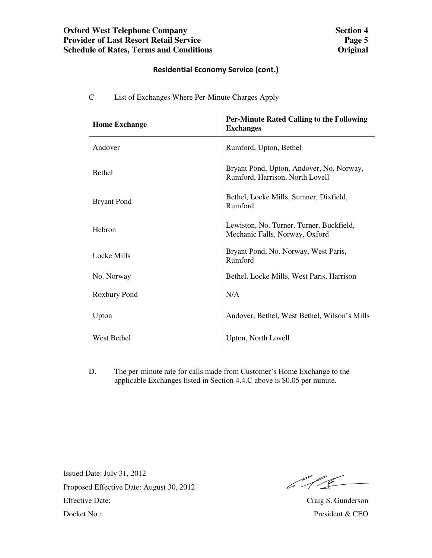$\mathbf{r}$ 

| <b>Home Exchange</b> | <b>Per-Minute Rated Calling to the Following</b><br><b>Exchanges</b>        |
|----------------------|-----------------------------------------------------------------------------|
| Andover              | Rumford, Upton, Bethel                                                      |
| <b>Bethel</b>        | Bryant Pond, Upton, Andover, No. Norway,<br>Rumford, Harrison, North Lovell |
| <b>Bryant Pond</b>   | Bethel, Locke Mills, Sumner, Dixfield,<br>Rumford                           |
| Hebron               | Lewiston, No. Turner, Turner, Buckfield,<br>Mechanic Falls, Norway, Oxford  |
| Locke Mills          | Bryant Pond, No. Norway, West Paris,<br>Rumford                             |
| No. Norway           | Bethel, Locke Mills, West Paris, Harrison                                   |
| Roxbury Pond         | N/A                                                                         |
| Upton                | Andover, Bethel, West Bethel, Wilson's Mills                                |
| <b>West Bethel</b>   | Upton, North Lovell                                                         |

C. List of Exchanges Where Per-Minute Charges Apply

D. The per-minute rate for calls made from Customer's Home Exchange to the applicable Exchanges listed in Section 4.4.C above is \$0.05 per minute.

 $612$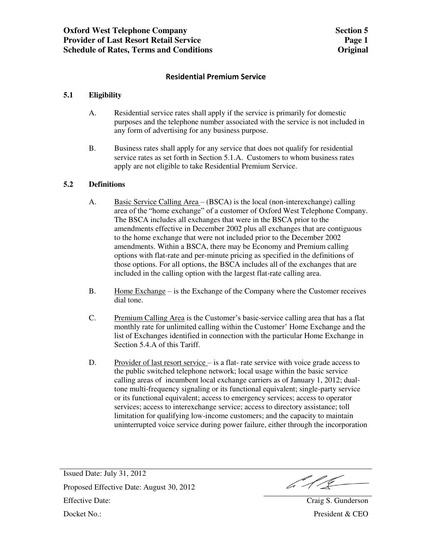#### **Residential Premium Service**

#### **5.1 Eligibility**

- A. Residential service rates shall apply if the service is primarily for domestic purposes and the telephone number associated with the service is not included in any form of advertising for any business purpose.
- B. Business rates shall apply for any service that does not qualify for residential service rates as set forth in Section 5.1.A. Customers to whom business rates apply are not eligible to take Residential Premium Service.

#### **5.2 Definitions**

- A. Basic Service Calling Area (BSCA) is the local (non-interexchange) calling area of the "home exchange" of a customer of Oxford West Telephone Company. The BSCA includes all exchanges that were in the BSCA prior to the amendments effective in December 2002 plus all exchanges that are contiguous to the home exchange that were not included prior to the December 2002 amendments. Within a BSCA, there may be Economy and Premium calling options with flat-rate and per-minute pricing as specified in the definitions of those options. For all options, the BSCA includes all of the exchanges that are included in the calling option with the largest flat-rate calling area.
- B. Home Exchange is the Exchange of the Company where the Customer receives dial tone.
- C. Premium Calling Area is the Customer's basic-service calling area that has a flat monthly rate for unlimited calling within the Customer' Home Exchange and the list of Exchanges identified in connection with the particular Home Exchange in Section 5.4.A of this Tariff.
- D. Provider of last resort service is a flat- rate service with voice grade access to the public switched telephone network; local usage within the basic service calling areas of incumbent local exchange carriers as of January 1, 2012; dualtone multi-frequency signaling or its functional equivalent; single-party service or its functional equivalent; access to emergency services; access to operator services; access to interexchange service; access to directory assistance; toll limitation for qualifying low-income customers; and the capacity to maintain uninterrupted voice service during power failure, either through the incorporation

Issued Date: July 31, 2012 Proposed Effective Date: August 30, 2012 Effective Date: August 50, 2012<br>Effective Date: Craig S. Gunderson Docket No.: President & CEO

 $611$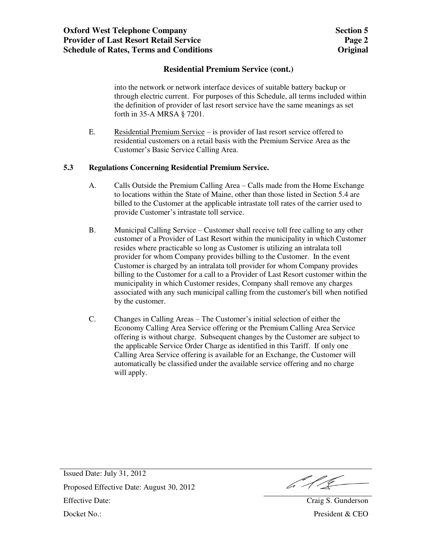### **Residential Premium Service (cont.)**

 into the network or network interface devices of suitable battery backup or through electric current. For purposes of this Schedule, all terms included within the definition of provider of last resort service have the same meanings as set forth in 35-A MRSA § 7201.

E. Residential Premium Service – is provider of last resort service offered to residential customers on a retail basis with the Premium Service Area as the Customer's Basic Service Calling Area.

#### **5.3 Regulations Concerning Residential Premium Service.**

- A. Calls Outside the Premium Calling Area Calls made from the Home Exchange to locations within the State of Maine, other than those listed in Section 5.4 are billed to the Customer at the applicable intrastate toll rates of the carrier used to provide Customer's intrastate toll service.
- B. Municipal Calling Service Customer shall receive toll free calling to any other customer of a Provider of Last Resort within the municipality in which Customer resides where practicable so long as Customer is utilizing an intralata toll provider for whom Company provides billing to the Customer. In the event Customer is charged by an intralata toll provider for whom Company provides billing to the Customer for a call to a Provider of Last Resort customer within the municipality in which Customer resides, Company shall remove any charges associated with any such municipal calling from the customer's bill when notified by the customer.
- C. Changes in Calling Areas The Customer's initial selection of either the Economy Calling Area Service offering or the Premium Calling Area Service offering is without charge. Subsequent changes by the Customer are subject to the applicable Service Order Charge as identified in this Tariff. If only one Calling Area Service offering is available for an Exchange, the Customer will automatically be classified under the available service offering and no charge will apply.

b 11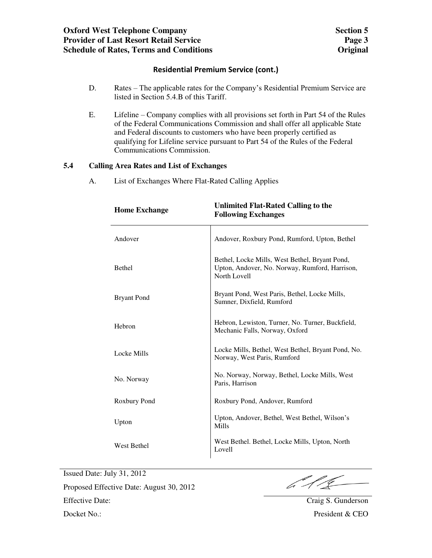### **Residential Premium Service (cont.)**

- D. Rates The applicable rates for the Company's Residential Premium Service are listed in Section 5.4.B of this Tariff.
- E. Lifeline Company complies with all provisions set forth in Part 54 of the Rules of the Federal Communications Commission and shall offer all applicable State and Federal discounts to customers who have been properly certified as qualifying for Lifeline service pursuant to Part 54 of the Rules of the Federal Communications Commission.

#### **5.4 Calling Area Rates and List of Exchanges**

A. List of Exchanges Where Flat-Rated Calling Applies

| <b>Home Exchange</b> | <b>Unlimited Flat-Rated Calling to the</b><br><b>Following Exchanges</b>                                         |
|----------------------|------------------------------------------------------------------------------------------------------------------|
| Andover              | Andover, Roxbury Pond, Rumford, Upton, Bethel                                                                    |
| Bethel               | Bethel, Locke Mills, West Bethel, Bryant Pond,<br>Upton, Andover, No. Norway, Rumford, Harrison,<br>North Lovell |
| <b>Bryant Pond</b>   | Bryant Pond, West Paris, Bethel, Locke Mills,<br>Sumner, Dixfield, Rumford                                       |
| Hebron               | Hebron, Lewiston, Turner, No. Turner, Buckfield,<br>Mechanic Falls, Norway, Oxford                               |
| <b>Locke Mills</b>   | Locke Mills, Bethel, West Bethel, Bryant Pond, No.<br>Norway, West Paris, Rumford                                |
| No. Norway           | No. Norway, Norway, Bethel, Locke Mills, West<br>Paris, Harrison                                                 |
| Roxbury Pond         | Roxbury Pond, Andover, Rumford                                                                                   |
| Upton                | Upton, Andover, Bethel, West Bethel, Wilson's<br>Mills                                                           |
| <b>West Bethel</b>   | West Bethel. Bethel, Locke Mills, Upton, North<br>Lovell                                                         |

Issued Date: July 31, 2012

Proposed Effective Date: August 30, 2012 Effective Date: Craig S. Gunderson Docket No.: President & CEO

6.11<u>.</u>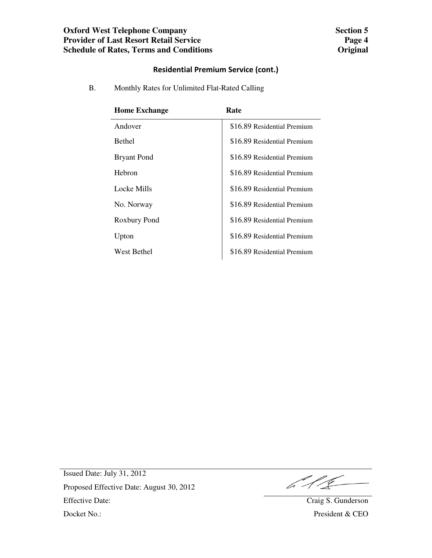## **Oxford West Telephone Company Provider of Last Resort Retail Service Schedule of Rates, Terms and Conditions**

## **Residential Premium Service (cont.)**

B. Monthly Rates for Unlimited Flat-Rated Calling

| <b>Home Exchange</b> | Rate                        |
|----------------------|-----------------------------|
| Andover              | \$16.89 Residential Premium |
| <b>Bethel</b>        | \$16.89 Residential Premium |
| <b>Bryant Pond</b>   | \$16.89 Residential Premium |
| Hebron               | \$16.89 Residential Premium |
| Locke Mills          | \$16.89 Residential Premium |
| No. Norway           | \$16.89 Residential Premium |
| Roxbury Pond         | \$16.89 Residential Premium |
| Upton                | \$16.89 Residential Premium |
| <b>West Bethel</b>   | \$16.89 Residential Premium |

 $611$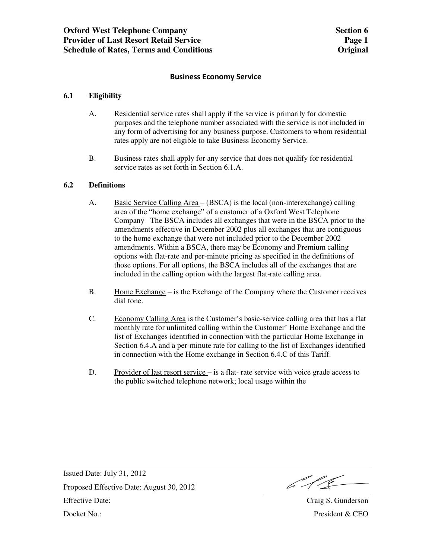#### **Business Economy Service**

#### **6.1 Eligibility**

- A. Residential service rates shall apply if the service is primarily for domestic purposes and the telephone number associated with the service is not included in any form of advertising for any business purpose. Customers to whom residential rates apply are not eligible to take Business Economy Service.
- B. Business rates shall apply for any service that does not qualify for residential service rates as set forth in Section 6.1.A.

#### **6.2 Definitions**

- A. Basic Service Calling Area (BSCA) is the local (non-interexchange) calling area of the "home exchange" of a customer of a Oxford West Telephone Company The BSCA includes all exchanges that were in the BSCA prior to the amendments effective in December 2002 plus all exchanges that are contiguous to the home exchange that were not included prior to the December 2002 amendments. Within a BSCA, there may be Economy and Premium calling options with flat-rate and per-minute pricing as specified in the definitions of those options. For all options, the BSCA includes all of the exchanges that are included in the calling option with the largest flat-rate calling area.
- B. Home Exchange is the Exchange of the Company where the Customer receives dial tone.
- C. Economy Calling Area is the Customer's basic-service calling area that has a flat monthly rate for unlimited calling within the Customer' Home Exchange and the list of Exchanges identified in connection with the particular Home Exchange in Section 6.4.A and a per-minute rate for calling to the list of Exchanges identified in connection with the Home exchange in Section 6.4.C of this Tariff.
- D. Provider of last resort service is a flat- rate service with voice grade access to the public switched telephone network; local usage within the

 $612$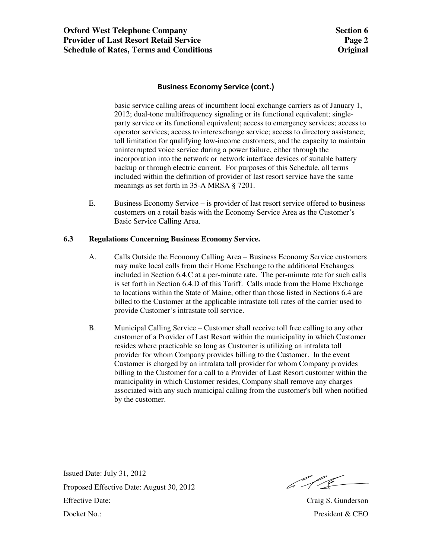#### **Business Economy Service (cont.)**

 basic service calling areas of incumbent local exchange carriers as of January 1, 2012; dual-tone multifrequency signaling or its functional equivalent; singleparty service or its functional equivalent; access to emergency services; access to operator services; access to interexchange service; access to directory assistance; toll limitation for qualifying low-income customers; and the capacity to maintain uninterrupted voice service during a power failure, either through the incorporation into the network or network interface devices of suitable battery backup or through electric current. For purposes of this Schedule, all terms included within the definition of provider of last resort service have the same meanings as set forth in 35-A MRSA § 7201.

E. Business Economy Service – is provider of last resort service offered to business customers on a retail basis with the Economy Service Area as the Customer's Basic Service Calling Area.

#### **6.3 Regulations Concerning Business Economy Service.**

- A. Calls Outside the Economy Calling Area Business Economy Service customers may make local calls from their Home Exchange to the additional Exchanges included in Section 6.4.C at a per-minute rate. The per-minute rate for such calls is set forth in Section 6.4.D of this Tariff. Calls made from the Home Exchange to locations within the State of Maine, other than those listed in Sections 6.4 are billed to the Customer at the applicable intrastate toll rates of the carrier used to provide Customer's intrastate toll service.
- B. Municipal Calling Service Customer shall receive toll free calling to any other customer of a Provider of Last Resort within the municipality in which Customer resides where practicable so long as Customer is utilizing an intralata toll provider for whom Company provides billing to the Customer. In the event Customer is charged by an intralata toll provider for whom Company provides billing to the Customer for a call to a Provider of Last Resort customer within the municipality in which Customer resides, Company shall remove any charges associated with any such municipal calling from the customer's bill when notified by the customer.

Issued Date: July 31, 2012 Proposed Effective Date: August 30, 2012 Proposed Effective Date: August 50, 2012<br>Effective Date: Craig S. Gunderson Docket No.: President & CEO

 $6116$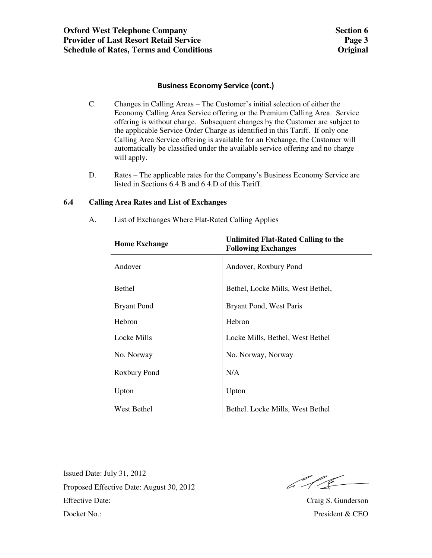### **Business Economy Service (cont.)**

- C. Changes in Calling Areas The Customer's initial selection of either the Economy Calling Area Service offering or the Premium Calling Area. Service offering is without charge. Subsequent changes by the Customer are subject to the applicable Service Order Charge as identified in this Tariff. If only one Calling Area Service offering is available for an Exchange, the Customer will automatically be classified under the available service offering and no charge will apply.
- D. Rates The applicable rates for the Company's Business Economy Service are listed in Sections 6.4.B and 6.4.D of this Tariff.

### **6.4 Calling Area Rates and List of Exchanges**

| Unlimited Flat-Rated Calling to the<br><b>Following Exchanges</b> |
|-------------------------------------------------------------------|
| Andover, Roxbury Pond                                             |
| Bethel, Locke Mills, West Bethel,                                 |
| Bryant Pond, West Paris                                           |
| Hebron                                                            |
| Locke Mills, Bethel, West Bethel                                  |
| No. Norway, Norway                                                |
| N/A                                                               |
| Upton                                                             |
| Bethel. Locke Mills, West Bethel                                  |
|                                                                   |

A. List of Exchanges Where Flat-Rated Calling Applies

611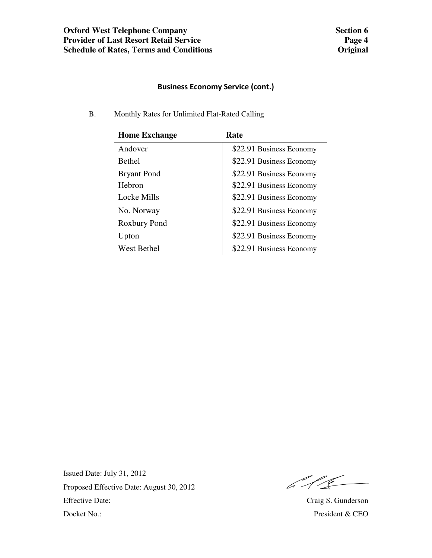# **Business Economy Service (cont.)**

B. Monthly Rates for Unlimited Flat-Rated Calling

| <b>Home Exchange</b> | Rate                     |
|----------------------|--------------------------|
| Andover              | \$22.91 Business Economy |
| <b>Bethel</b>        | \$22.91 Business Economy |
| <b>Bryant Pond</b>   | \$22.91 Business Economy |
| Hebron               | \$22.91 Business Economy |
| Locke Mills          | \$22.91 Business Economy |
| No. Norway           | \$22.91 Business Economy |
| Roxbury Pond         | \$22.91 Business Economy |
| Upton                | \$22.91 Business Economy |
| <b>West Bethel</b>   | \$22.91 Business Economy |

 $611$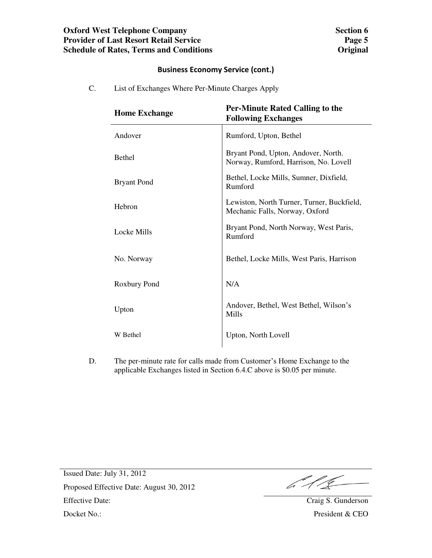## **Oxford West Telephone Company Provider of Last Resort Retail Service Schedule of Rates, Terms and Conditions**

## **Business Economy Service (cont.)**

C. List of Exchanges Where Per-Minute Charges Apply

| <b>Home Exchange</b> | <b>Per-Minute Rated Calling to the</b><br><b>Following Exchanges</b>         |
|----------------------|------------------------------------------------------------------------------|
| Andover              | Rumford, Upton, Bethel                                                       |
| <b>Bethel</b>        | Bryant Pond, Upton, Andover, North.<br>Norway, Rumford, Harrison, No. Lovell |
| <b>Bryant Pond</b>   | Bethel, Locke Mills, Sumner, Dixfield,<br>Rumford                            |
| Hebron               | Lewiston, North Turner, Turner, Buckfield,<br>Mechanic Falls, Norway, Oxford |
| Locke Mills          | Bryant Pond, North Norway, West Paris,<br>Rumford                            |
| No. Norway           | Bethel, Locke Mills, West Paris, Harrison                                    |
| Roxbury Pond         | N/A                                                                          |
| Upton                | Andover, Bethel, West Bethel, Wilson's<br>Mills                              |
| W Bethel             | Upton, North Lovell                                                          |

D. The per-minute rate for calls made from Customer's Home Exchange to the applicable Exchanges listed in Section 6.4.C above is \$0.05 per minute.

6.11C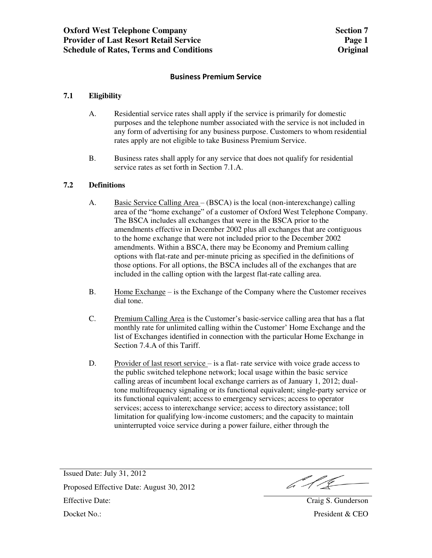#### **Business Premium Service**

### **7.1 Eligibility**

- A. Residential service rates shall apply if the service is primarily for domestic purposes and the telephone number associated with the service is not included in any form of advertising for any business purpose. Customers to whom residential rates apply are not eligible to take Business Premium Service.
- B. Business rates shall apply for any service that does not qualify for residential service rates as set forth in Section 7.1.A.

#### **7.2 Definitions**

- A. Basic Service Calling Area (BSCA) is the local (non-interexchange) calling area of the "home exchange" of a customer of Oxford West Telephone Company. The BSCA includes all exchanges that were in the BSCA prior to the amendments effective in December 2002 plus all exchanges that are contiguous to the home exchange that were not included prior to the December 2002 amendments. Within a BSCA, there may be Economy and Premium calling options with flat-rate and per-minute pricing as specified in the definitions of those options. For all options, the BSCA includes all of the exchanges that are included in the calling option with the largest flat-rate calling area.
- B. Home Exchange is the Exchange of the Company where the Customer receives dial tone.
- C. Premium Calling Area is the Customer's basic-service calling area that has a flat monthly rate for unlimited calling within the Customer' Home Exchange and the list of Exchanges identified in connection with the particular Home Exchange in Section 7.4.A of this Tariff.
- D. Provider of last resort service is a flat- rate service with voice grade access to the public switched telephone network; local usage within the basic service calling areas of incumbent local exchange carriers as of January 1, 2012; dualtone multifrequency signaling or its functional equivalent; single-party service or its functional equivalent; access to emergency services; access to operator services; access to interexchange service; access to directory assistance; toll limitation for qualifying low-income customers; and the capacity to maintain uninterrupted voice service during a power failure, either through the

 $612$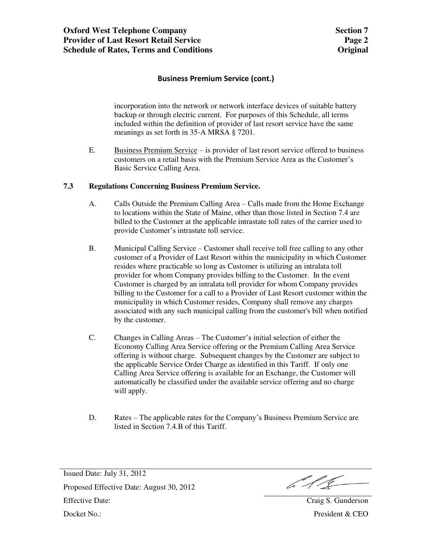### **Business Premium Service (cont.)**

 incorporation into the network or network interface devices of suitable battery backup or through electric current. For purposes of this Schedule, all terms included within the definition of provider of last resort service have the same meanings as set forth in 35-A MRSA § 7201.

E. Business Premium Service – is provider of last resort service offered to business customers on a retail basis with the Premium Service Area as the Customer's Basic Service Calling Area.

#### **7.3 Regulations Concerning Business Premium Service.**

- A. Calls Outside the Premium Calling Area Calls made from the Home Exchange to locations within the State of Maine, other than those listed in Section 7.4 are billed to the Customer at the applicable intrastate toll rates of the carrier used to provide Customer's intrastate toll service.
- B. Municipal Calling Service Customer shall receive toll free calling to any other customer of a Provider of Last Resort within the municipality in which Customer resides where practicable so long as Customer is utilizing an intralata toll provider for whom Company provides billing to the Customer. In the event Customer is charged by an intralata toll provider for whom Company provides billing to the Customer for a call to a Provider of Last Resort customer within the municipality in which Customer resides, Company shall remove any charges associated with any such municipal calling from the customer's bill when notified by the customer.
- C. Changes in Calling Areas The Customer's initial selection of either the Economy Calling Area Service offering or the Premium Calling Area Service offering is without charge. Subsequent changes by the Customer are subject to the applicable Service Order Charge as identified in this Tariff. If only one Calling Area Service offering is available for an Exchange, the Customer will automatically be classified under the available service offering and no charge will apply.
- D. Rates The applicable rates for the Company's Business Premium Service are listed in Section 7.4.B of this Tariff.

 $612$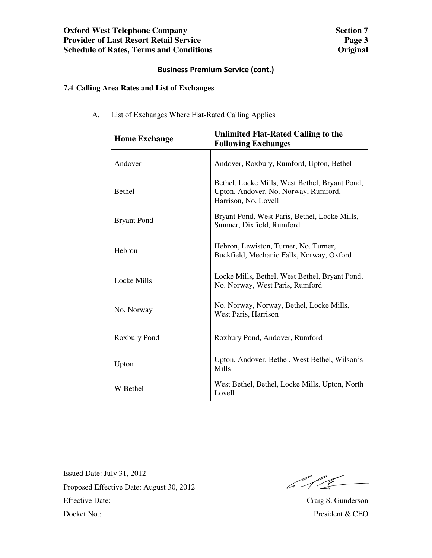## **Oxford West Telephone Company Provider of Last Resort Retail Service Schedule of Rates, Terms and Conditions**

## **Business Premium Service (cont.)**

## **7.4 Calling Area Rates and List of Exchanges**

A. List of Exchanges Where Flat-Rated Calling Applies

| <b>Home Exchange</b> | <b>Unlimited Flat-Rated Calling to the</b><br><b>Following Exchanges</b>                                       |  |
|----------------------|----------------------------------------------------------------------------------------------------------------|--|
| Andover              | Andover, Roxbury, Rumford, Upton, Bethel                                                                       |  |
| <b>Bethel</b>        | Bethel, Locke Mills, West Bethel, Bryant Pond,<br>Upton, Andover, No. Norway, Rumford,<br>Harrison, No. Lovell |  |
| <b>Bryant Pond</b>   | Bryant Pond, West Paris, Bethel, Locke Mills,<br>Sumner, Dixfield, Rumford                                     |  |
| Hebron               | Hebron, Lewiston, Turner, No. Turner,<br>Buckfield, Mechanic Falls, Norway, Oxford                             |  |
| Locke Mills          | Locke Mills, Bethel, West Bethel, Bryant Pond,<br>No. Norway, West Paris, Rumford                              |  |
| No. Norway           | No. Norway, Norway, Bethel, Locke Mills,<br>West Paris, Harrison                                               |  |
| Roxbury Pond         | Roxbury Pond, Andover, Rumford                                                                                 |  |
| Upton                | Upton, Andover, Bethel, West Bethel, Wilson's<br>Mills                                                         |  |
| W Bethel             | West Bethel, Bethel, Locke Mills, Upton, North<br>Lovell                                                       |  |

 $\frac{1}{2}$